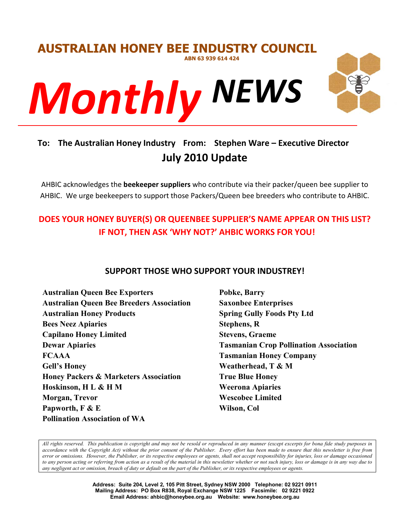

# **To: The Australian Honey Industry From: Stephen Ware – Executive Director July 2010 Update**

AHBIC acknowledges the **beekeeper suppliers** who contribute via their packer/queen bee supplier to AHBIC. We urge beekeepers to support those Packers/Queen bee breeders who contribute to AHBIC.

# **DOES YOUR HONEY BUYER(S) OR QUEENBEE SUPPLIER'S NAME APPEAR ON THIS LIST? IF NOT, THEN ASK 'WHY NOT?' AHBIC WORKS FOR YOU!**

# **SUPPORT THOSE WHO SUPPORT YOUR INDUSTREY!**

**Australian Queen Bee Exporters Australian Queen Bee Breeders Association Australian Honey Products Bees Neez Apiaries Capilano Honey Limited Dewar Apiaries FCAAA Gell's Honey Honey Packers & Marketers Association Hoskinson, H L & H M Morgan, Trevor Papworth, F & E Pollination Association of WA**

**Pobke, Barry Saxonbee Enterprises Spring Gully Foods Pty Ltd Stephens, R Stevens, Graeme Tasmanian Crop Pollination Association Tasmanian Honey Company Weatherhead, T & M True Blue Honey Weerona Apiaries Wescobee Limited Wilson, Col**

*All rights reserved. This publication is copyright and may not be resold or reproduced in any manner (except excerpts for bona fide study purposes in accordance with the Copyright Act) without the prior consent of the Publisher. Every effort has been made to ensure that this newsletter is free from error or omissions. However, the Publisher, or its respective employees or agents, shall not accept responsibility for injuries, loss or damage occasioned to any person acting or referring from action as a result of the material in this newsletter whether or not such injury, loss or damage is in any way due to any negligent act or omission, breach of duty or default on the part of the Publisher, or its respective employees or agents.*

> **Address: Suite 204, Level 2, 105 Pitt Street, Sydney NSW 2000 Telephone: 02 9221 0911 Mailing Address: PO Box R838, Royal Exchange NSW 1225 Facsimile: 02 9221 0922 Email Address: ahbic@honeybee.org.au Website: www.honeybee.org.au**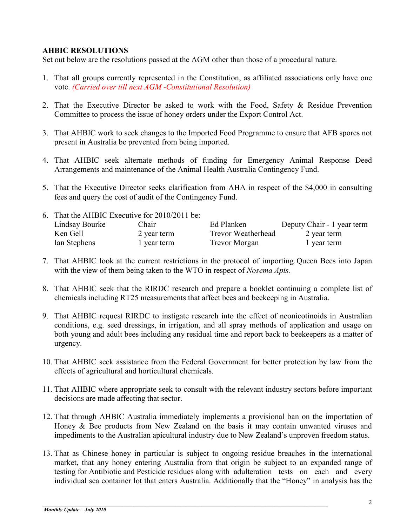#### **AHBIC RESOLUTIONS**

Set out below are the resolutions passed at the AGM other than those of a procedural nature.

- 1. That all groups currently represented in the Constitution, as affiliated associations only have one vote. *(Carried over till next AGM -Constitutional Resolution)*
- 2. That the Executive Director be asked to work with the Food, Safety & Residue Prevention Committee to process the issue of honey orders under the Export Control Act.
- 3. That AHBIC work to seek changes to the Imported Food Programme to ensure that AFB spores not present in Australia be prevented from being imported.
- 4. That AHBIC seek alternate methods of funding for Emergency Animal Response Deed Arrangements and maintenance of the Animal Health Australia Contingency Fund.
- 5. That the Executive Director seeks clarification from AHA in respect of the \$4,000 in consulting fees and query the cost of audit of the Contingency Fund.

| 6. That the AHBIC Executive for 2010/2011 be: |             |                           |                            |
|-----------------------------------------------|-------------|---------------------------|----------------------------|
| Lindsay Bourke                                | Chair       | Ed Planken                | Deputy Chair - 1 year term |
| Ken Gell                                      | 2 year term | <b>Trevor Weatherhead</b> | 2 year term                |
| Ian Stephens                                  | 1 year term | <b>Trevor Morgan</b>      | 1 year term                |

- 7. That AHBIC look at the current restrictions in the protocol of importing Queen Bees into Japan with the view of them being taken to the WTO in respect of *Nosema Apis.*
- 8. That AHBIC seek that the RIRDC research and prepare a booklet continuing a complete list of chemicals including RT25 measurements that affect bees and beekeeping in Australia.
- 9. That AHBIC request RIRDC to instigate research into the effect of neonicotinoids in Australian conditions, e.g. seed dressings, in irrigation, and all spray methods of application and usage on both young and adult bees including any residual time and report back to beekeepers as a matter of urgency.
- 10. That AHBIC seek assistance from the Federal Government for better protection by law from the effects of agricultural and horticultural chemicals.
- 11. That AHBIC where appropriate seek to consult with the relevant industry sectors before important decisions are made affecting that sector.
- 12. That through AHBIC Australia immediately implements a provisional ban on the importation of Honey & Bee products from New Zealand on the basis it may contain unwanted viruses and impediments to the Australian apicultural industry due to New Zealand's unproven freedom status.
- 13. That as Chinese honey in particular is subject to ongoing residue breaches in the international market, that any honey entering Australia from that origin be subject to an expanded range of testing for Antibiotic and Pesticide residues along with adulteration tests on each and every individual sea container lot that enters Australia. Additionally that the "Honey" in analysis has the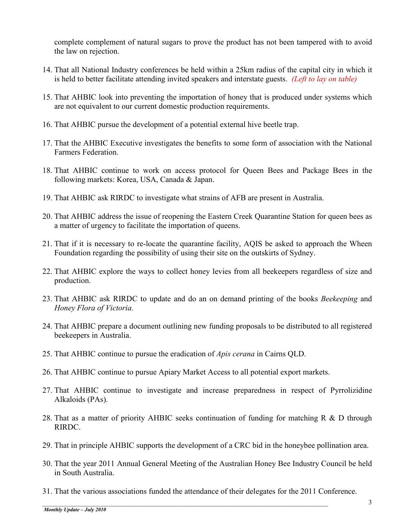complete complement of natural sugars to prove the product has not been tampered with to avoid the law on rejection.

- 14. That all National Industry conferences be held within a 25km radius of the capital city in which it is held to better facilitate attending invited speakers and interstate guests. *(Left to lay on table)*
- 15. That AHBIC look into preventing the importation of honey that is produced under systems which are not equivalent to our current domestic production requirements.
- 16. That AHBIC pursue the development of a potential external hive beetle trap.
- 17. That the AHBIC Executive investigates the benefits to some form of association with the National Farmers Federation.
- 18. That AHBIC continue to work on access protocol for Queen Bees and Package Bees in the following markets: Korea, USA, Canada & Japan.
- 19. That AHBIC ask RIRDC to investigate what strains of AFB are present in Australia.
- 20. That AHBIC address the issue of reopening the Eastern Creek Quarantine Station for queen bees as a matter of urgency to facilitate the importation of queens.
- 21. That if it is necessary to re-locate the quarantine facility, AQIS be asked to approach the Wheen Foundation regarding the possibility of using their site on the outskirts of Sydney.
- 22. That AHBIC explore the ways to collect honey levies from all beekeepers regardless of size and production.
- 23. That AHBIC ask RIRDC to update and do an on demand printing of the books *Beekeeping* and *Honey Flora of Victoria.*
- 24. That AHBIC prepare a document outlining new funding proposals to be distributed to all registered beekeepers in Australia.
- 25. That AHBIC continue to pursue the eradication of *Apis cerana* in Cairns QLD.
- 26. That AHBIC continue to pursue Apiary Market Access to all potential export markets.
- 27. That AHBIC continue to investigate and increase preparedness in respect of Pyrrolizidine Alkaloids (PAs).
- 28. That as a matter of priority AHBIC seeks continuation of funding for matching R  $\&$  D through RIRDC.
- 29. That in principle AHBIC supports the development of a CRC bid in the honeybee pollination area.
- 30. That the year 2011 Annual General Meeting of the Australian Honey Bee Industry Council be held in South Australia.
- 31. That the various associations funded the attendance of their delegates for the 2011 Conference.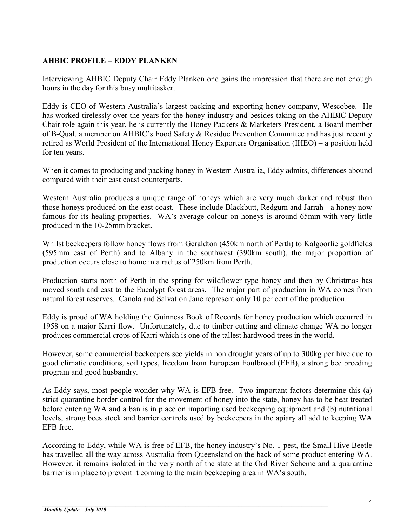# **AHBIC PROFILE – EDDY PLANKEN**

Interviewing AHBIC Deputy Chair Eddy Planken one gains the impression that there are not enough hours in the day for this busy multitasker.

Eddy is CEO of Western Australia's largest packing and exporting honey company, Wescobee. He has worked tirelessly over the years for the honey industry and besides taking on the AHBIC Deputy Chair role again this year, he is currently the Honey Packers & Marketers President, a Board member of B-Qual, a member on AHBIC's Food Safety & Residue Prevention Committee and has just recently retired as World President of the International Honey Exporters Organisation (IHEO) – a position held for ten years.

When it comes to producing and packing honey in Western Australia, Eddy admits, differences abound compared with their east coast counterparts.

Western Australia produces a unique range of honeys which are very much darker and robust than those honeys produced on the east coast. These include Blackbutt, Redgum and Jarrah - a honey now famous for its healing properties. WA's average colour on honeys is around 65mm with very little produced in the 10-25mm bracket.

Whilst beekeepers follow honey flows from Geraldton (450km north of Perth) to Kalgoorlie goldfields (595mm east of Perth) and to Albany in the southwest (390km south), the major proportion of production occurs close to home in a radius of 250km from Perth.

Production starts north of Perth in the spring for wildflower type honey and then by Christmas has moved south and east to the Eucalypt forest areas. The major part of production in WA comes from natural forest reserves. Canola and Salvation Jane represent only 10 per cent of the production.

Eddy is proud of WA holding the Guinness Book of Records for honey production which occurred in 1958 on a major Karri flow. Unfortunately, due to timber cutting and climate change WA no longer produces commercial crops of Karri which is one of the tallest hardwood trees in the world.

However, some commercial beekeepers see yields in non drought years of up to 300kg per hive due to good climatic conditions, soil types, freedom from European Foulbrood (EFB), a strong bee breeding program and good husbandry.

As Eddy says, most people wonder why WA is EFB free. Two important factors determine this (a) strict quarantine border control for the movement of honey into the state, honey has to be heat treated before entering WA and a ban is in place on importing used beekeeping equipment and (b) nutritional levels, strong bees stock and barrier controls used by beekeepers in the apiary all add to keeping WA EFB free.

According to Eddy, while WA is free of EFB, the honey industry's No. 1 pest, the Small Hive Beetle has travelled all the way across Australia from Queensland on the back of some product entering WA. However, it remains isolated in the very north of the state at the Ord River Scheme and a quarantine barrier is in place to prevent it coming to the main beekeeping area in WA's south.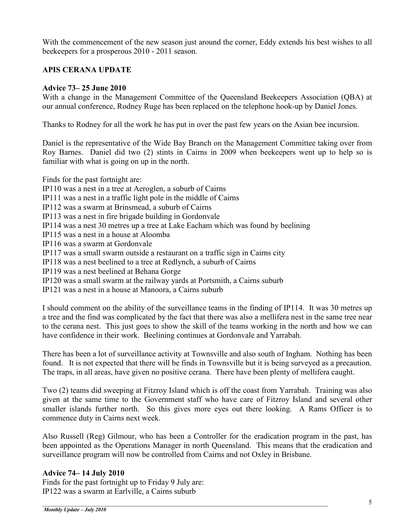With the commencement of the new season just around the corner, Eddy extends his best wishes to all beekeepers for a prosperous 2010 - 2011 season.

#### **APIS CERANA UPDATE**

#### **Advice 73– 25 June 2010**

With a change in the Management Committee of the Queensland Beekeepers Association (QBA) at our annual conference, Rodney Ruge has been replaced on the telephone hook-up by Daniel Jones.

Thanks to Rodney for all the work he has put in over the past few years on the Asian bee incursion.

Daniel is the representative of the Wide Bay Branch on the Management Committee taking over from Roy Barnes. Daniel did two (2) stints in Cairns in 2009 when beekeepers went up to help so is familiar with what is going on up in the north.

Finds for the past fortnight are:

IP110 was a nest in a tree at Aeroglen, a suburb of Cairns IP111 was a nest in a traffic light pole in the middle of Cairns IP112 was a swarm at Brinsmead, a suburb of Cairns

IP113 was a nest in fire brigade building in Gordonvale

IP114 was a nest 30 metres up a tree at Lake Eacham which was found by beelining

IP115 was a nest in a house at Aloomba

IP116 was a swarm at Gordonvale

IP117 was a small swarm outside a restaurant on a traffic sign in Cairns city

IP118 was a nest beelined to a tree at Redlynch, a suburb of Cairns

IP119 was a nest beelined at Behana Gorge

IP120 was a small swarm at the railway yards at Portsmith, a Cairns suburb

IP121 was a nest in a house at Manoora, a Cairns suburb

I should comment on the ability of the surveillance teams in the finding of IP114. It was 30 metres up a tree and the find was complicated by the fact that there was also a mellifera nest in the same tree near to the cerana nest. This just goes to show the skill of the teams working in the north and how we can have confidence in their work. Beelining continues at Gordonvale and Yarrabah.

There has been a lot of surveillance activity at Townsville and also south of Ingham. Nothing has been found. It is not expected that there will be finds in Townsville but it is being surveyed as a precaution. The traps, in all areas, have given no positive cerana. There have been plenty of mellifera caught.

Two (2) teams did sweeping at Fitzroy Island which is off the coast from Yarrabah. Training was also given at the same time to the Government staff who have care of Fitzroy Island and several other smaller islands further north. So this gives more eyes out there looking. A Rams Officer is to commence duty in Cairns next week.

Also Russell (Reg) Gilmour, who has been a Controller for the eradication program in the past, has been appointed as the Operations Manager in north Queensland. This means that the eradication and surveillance program will now be controlled from Cairns and not Oxley in Brisbane.

#### **Advice 74– 14 July 2010**

Finds for the past fortnight up to Friday 9 July are: IP122 was a swarm at Earlville, a Cairns suburb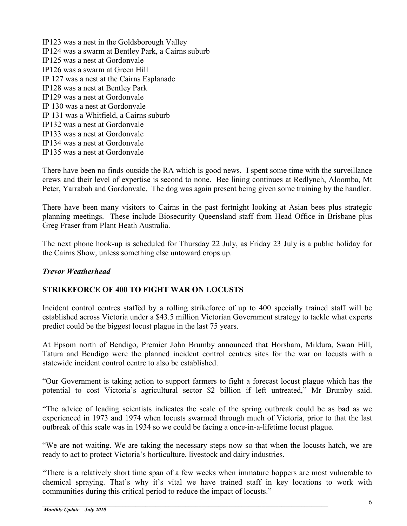IP123 was a nest in the Goldsborough Valley IP124 was a swarm at Bentley Park, a Cairns suburb IP125 was a nest at Gordonvale IP126 was a swarm at Green Hill IP 127 was a nest at the Cairns Esplanade IP128 was a nest at Bentley Park IP129 was a nest at Gordonvale IP 130 was a nest at Gordonvale IP 131 was a Whitfield, a Cairns suburb IP132 was a nest at Gordonvale IP133 was a nest at Gordonvale IP134 was a nest at Gordonvale IP135 was a nest at Gordonvale

There have been no finds outside the RA which is good news. I spent some time with the surveillance crews and their level of expertise is second to none. Bee lining continues at Redlynch, Aloomba, Mt Peter, Yarrabah and Gordonvale. The dog was again present being given some training by the handler.

There have been many visitors to Cairns in the past fortnight looking at Asian bees plus strategic planning meetings. These include Biosecurity Queensland staff from Head Office in Brisbane plus Greg Fraser from Plant Heath Australia.

The next phone hook-up is scheduled for Thursday 22 July, as Friday 23 July is a public holiday for the Cairns Show, unless something else untoward crops up.

#### *Trevor Weatherhead*

#### **STRIKEFORCE OF 400 TO FIGHT WAR ON LOCUSTS**

Incident control centres staffed by a rolling strikeforce of up to 400 specially trained staff will be established across Victoria under a \$43.5 million Victorian Government strategy to tackle what experts predict could be the biggest locust plague in the last 75 years.

At Epsom north of Bendigo, Premier John Brumby announced that Horsham, Mildura, Swan Hill, Tatura and Bendigo were the planned incident control centres sites for the war on locusts with a statewide incident control centre to also be established.

"Our Government is taking action to support farmers to fight a forecast locust plague which has the potential to cost Victoria's agricultural sector \$2 billion if left untreated," Mr Brumby said.

"The advice of leading scientists indicates the scale of the spring outbreak could be as bad as we experienced in 1973 and 1974 when locusts swarmed through much of Victoria, prior to that the last outbreak of this scale was in 1934 so we could be facing a once-in-a-lifetime locust plague.

"We are not waiting. We are taking the necessary steps now so that when the locusts hatch, we are ready to act to protect Victoria's horticulture, livestock and dairy industries.

"There is a relatively short time span of a few weeks when immature hoppers are most vulnerable to chemical spraying. That's why it's vital we have trained staff in key locations to work with communities during this critical period to reduce the impact of locusts."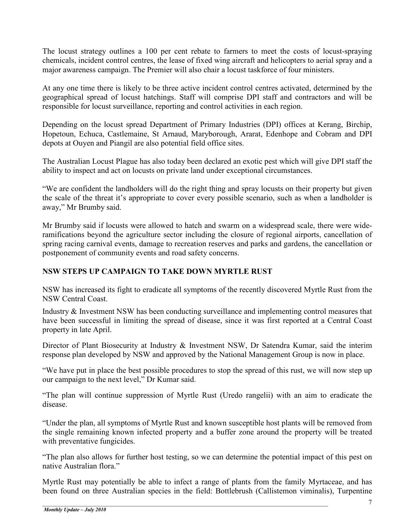The locust strategy outlines a 100 per cent rebate to farmers to meet the costs of locust-spraying chemicals, incident control centres, the lease of fixed wing aircraft and helicopters to aerial spray and a major awareness campaign. The Premier will also chair a locust taskforce of four ministers.

At any one time there is likely to be three active incident control centres activated, determined by the geographical spread of locust hatchings. Staff will comprise DPI staff and contractors and will be responsible for locust surveillance, reporting and control activities in each region.

Depending on the locust spread Department of Primary Industries (DPI) offices at Kerang, Birchip, Hopetoun, Echuca, Castlemaine, St Arnaud, Maryborough, Ararat, Edenhope and Cobram and DPI depots at Ouyen and Piangil are also potential field office sites.

The Australian Locust Plague has also today been declared an exotic pest which will give DPI staff the ability to inspect and act on locusts on private land under exceptional circumstances.

"We are confident the landholders will do the right thing and spray locusts on their property but given the scale of the threat it's appropriate to cover every possible scenario, such as when a landholder is away," Mr Brumby said.

Mr Brumby said if locusts were allowed to hatch and swarm on a widespread scale, there were wideramifications beyond the agriculture sector including the closure of regional airports, cancellation of spring racing carnival events, damage to recreation reserves and parks and gardens, the cancellation or postponement of community events and road safety concerns.

# **NSW STEPS UP CAMPAIGN TO TAKE DOWN MYRTLE RUST**

NSW has increased its fight to eradicate all symptoms of the recently discovered Myrtle Rust from the NSW Central Coast.

Industry & Investment NSW has been conducting surveillance and implementing control measures that have been successful in limiting the spread of disease, since it was first reported at a Central Coast property in late April.

Director of Plant Biosecurity at Industry & Investment NSW, Dr Satendra Kumar, said the interim response plan developed by NSW and approved by the National Management Group is now in place.

"We have put in place the best possible procedures to stop the spread of this rust, we will now step up our campaign to the next level," Dr Kumar said.

"The plan will continue suppression of Myrtle Rust (Uredo rangelii) with an aim to eradicate the disease.

"Under the plan, all symptoms of Myrtle Rust and known susceptible host plants will be removed from the single remaining known infected property and a buffer zone around the property will be treated with preventative fungicides.

"The plan also allows for further host testing, so we can determine the potential impact of this pest on native Australian flora."

Myrtle Rust may potentially be able to infect a range of plants from the family Myrtaceae, and has been found on three Australian species in the field: Bottlebrush (Callistemon viminalis), Turpentine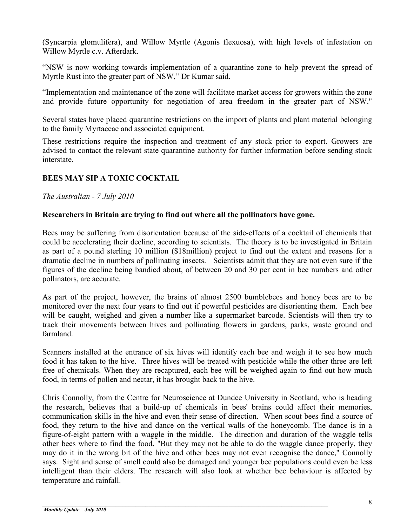(Syncarpia glomulifera), and Willow Myrtle (Agonis flexuosa), with high levels of infestation on Willow Myrtle c.v. Afterdark.

"NSW is now working towards implementation of a quarantine zone to help prevent the spread of Myrtle Rust into the greater part of NSW," Dr Kumar said.

"Implementation and maintenance of the zone will facilitate market access for growers within the zone and provide future opportunity for negotiation of area freedom in the greater part of NSW."

Several states have placed quarantine restrictions on the import of plants and plant material belonging to the family Myrtaceae and associated equipment.

These restrictions require the inspection and treatment of any stock prior to export. Growers are advised to contact the relevant state quarantine authority for further information before sending stock interstate.

# **BEES MAY SIP A TOXIC COCKTAIL**

*The Australian - 7 July 2010*

#### **Researchers in Britain are trying to find out where all the pollinators have gone.**

Bees may be suffering from disorientation because of the side-effects of a cocktail of chemicals that could be accelerating their decline, according to scientists. The theory is to be investigated in Britain as part of a pound sterling 10 million (\$18million) project to find out the extent and reasons for a dramatic decline in numbers of pollinating insects. Scientists admit that they are not even sure if the figures of the decline being bandied about, of between 20 and 30 per cent in bee numbers and other pollinators, are accurate.

As part of the project, however, the brains of almost 2500 bumblebees and honey bees are to be monitored over the next four years to find out if powerful pesticides are disorienting them. Each bee will be caught, weighed and given a number like a supermarket barcode. Scientists will then try to track their movements between hives and pollinating flowers in gardens, parks, waste ground and farmland.

Scanners installed at the entrance of six hives will identify each bee and weigh it to see how much food it has taken to the hive. Three hives will be treated with pesticide while the other three are left free of chemicals. When they are recaptured, each bee will be weighed again to find out how much food, in terms of pollen and nectar, it has brought back to the hive.

Chris Connolly, from the Centre for Neuroscience at Dundee University in Scotland, who is heading the research, believes that a build-up of chemicals in bees' brains could affect their memories, communication skills in the hive and even their sense of direction. When scout bees find a source of food, they return to the hive and dance on the vertical walls of the honeycomb. The dance is in a figure-of-eight pattern with a waggle in the middle. The direction and duration of the waggle tells other bees where to find the food. "But they may not be able to do the waggle dance properly, they may do it in the wrong bit of the hive and other bees may not even recognise the dance," Connolly says. Sight and sense of smell could also be damaged and younger bee populations could even be less intelligent than their elders. The research will also look at whether bee behaviour is affected by temperature and rainfall.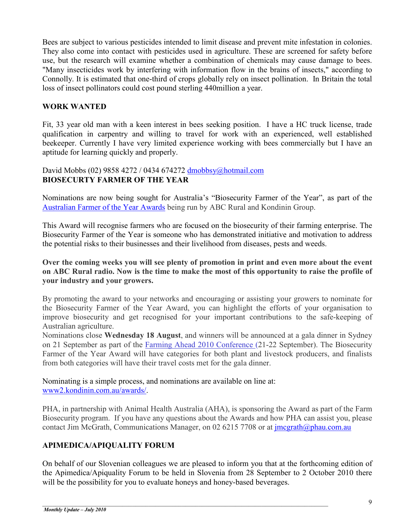Bees are subject to various pesticides intended to limit disease and prevent mite infestation in colonies. They also come into contact with pesticides used in agriculture. These are screened for safety before use, but the research will examine whether a combination of chemicals may cause damage to bees. "Many insecticides work by interfering with information flow in the brains of insects," according to Connolly. It is estimated that one-third of crops globally rely on insect pollination. In Britain the total loss of insect pollinators could cost pound sterling 440million a year.

### **WORK WANTED**

Fit, 33 year old man with a keen interest in bees seeking position. I have a HC truck license, trade qualification in carpentry and willing to travel for work with an experienced, well established beekeeper. Currently I have very limited experience working with bees commercially but I have an aptitude for learning quickly and properly.

#### David Mobbs (02) 9858 4272 / 0434 674272 [dmobbsy@hotmail.com](mailto:dmobbsy@hotmail.com) **BIOSECURTY FARMER OF THE YEAR**

Nominations are now being sought for Australia's "Biosecurity Farmer of the Year", as part of the [Australian Farmer of the Year Awards](http://www2.kondinin.com.au/awards/) being run by ABC Rural and Kondinin Group.

This Award will recognise farmers who are focused on the biosecurity of their farming enterprise. The Biosecurity Farmer of the Year is someone who has demonstrated initiative and motivation to address the potential risks to their businesses and their livelihood from diseases, pests and weeds.

#### **Over the coming weeks you will see plenty of promotion in print and even more about the event on ABC Rural radio. Now is the time to make the most of this opportunity to raise the profile of your industry and your growers.**

By promoting the award to your networks and encouraging or assisting your growers to nominate for the Biosecurity Farmer of the Year Award, you can highlight the efforts of your organisation to improve biosecurity and get recognised for your important contributions to the safe-keeping of Australian agriculture.

Nominations close **Wednesday 18 August**, and winners will be announced at a gala dinner in Sydney on 21 September as part of the [Farming Ahead 2010 Conference \(](http://planthealthaustralia.createsend4.com/t/r/l/pjuudy/eidtihlh/b)21-22 September). The Biosecurity Farmer of the Year Award will have categories for both plant and livestock producers, and finalists from both categories will have their travel costs met for the gala dinner.

Nominating is a simple process, and nominations are available on line at: [www2.kondinin.com.au/awards/.](http://www2.kondinin.com.au/awards/)

PHA, in partnership with Animal Health Australia (AHA), is sponsoring the Award as part of the Farm Biosecurity program. If you have any questions about the Awards and how PHA can assist you, please contact Jim McGrath, Communications Manager, on 02 6215 7708 or at [jmcgrath@phau.com.au](mailto:jmcgrath@phau.com.au)

# **APIMEDICA/APIQUALITY FORUM**

On behalf of our Slovenian colleagues we are pleased to inform you that at the forthcoming edition of the Apimedica/Apiquality Forum to be held in Slovenia from 28 September to 2 October 2010 there will be the possibility for you to evaluate honeys and honey-based beverages.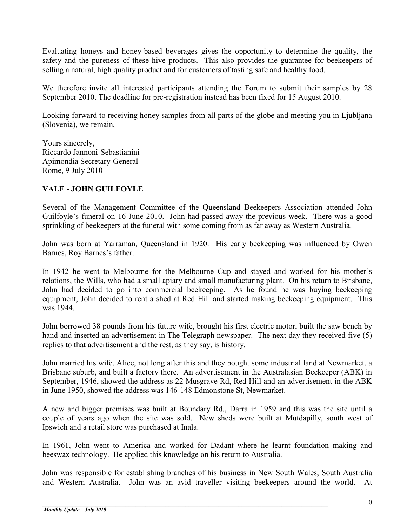Evaluating honeys and honey-based beverages gives the opportunity to determine the quality, the safety and the pureness of these hive products. This also provides the guarantee for beekeepers of selling a natural, high quality product and for customers of tasting safe and healthy food.

We therefore invite all interested participants attending the Forum to submit their samples by 28 September 2010. The deadline for pre-registration instead has been fixed for 15 August 2010.

Looking forward to receiving honey samples from all parts of the globe and meeting you in Ljubljana (Slovenia), we remain,

Yours sincerely, Riccardo Jannoni-Sebastianini Apimondia Secretary-General Rome, 9 July 2010

#### **VALE - JOHN GUILFOYLE**

Several of the Management Committee of the Queensland Beekeepers Association attended John Guilfoyle's funeral on 16 June 2010. John had passed away the previous week. There was a good sprinkling of beekeepers at the funeral with some coming from as far away as Western Australia.

John was born at Yarraman, Queensland in 1920. His early beekeeping was influenced by Owen Barnes, Roy Barnes's father.

In 1942 he went to Melbourne for the Melbourne Cup and stayed and worked for his mother's relations, the Wills, who had a small apiary and small manufacturing plant. On his return to Brisbane, John had decided to go into commercial beekeeping. As he found he was buying beekeeping equipment, John decided to rent a shed at Red Hill and started making beekeeping equipment. This was 1944.

John borrowed 38 pounds from his future wife, brought his first electric motor, built the saw bench by hand and inserted an advertisement in The Telegraph newspaper. The next day they received five (5) replies to that advertisement and the rest, as they say, is history.

John married his wife, Alice, not long after this and they bought some industrial land at Newmarket, a Brisbane suburb, and built a factory there. An advertisement in the Australasian Beekeeper (ABK) in September, 1946, showed the address as 22 Musgrave Rd, Red Hill and an advertisement in the ABK in June 1950, showed the address was 146-148 Edmonstone St, Newmarket.

A new and bigger premises was built at Boundary Rd., Darra in 1959 and this was the site until a couple of years ago when the site was sold. New sheds were built at Mutdapilly, south west of Ipswich and a retail store was purchased at Inala.

In 1961, John went to America and worked for Dadant where he learnt foundation making and beeswax technology. He applied this knowledge on his return to Australia.

John was responsible for establishing branches of his business in New South Wales, South Australia and Western Australia. John was an avid traveller visiting beekeepers around the world. At